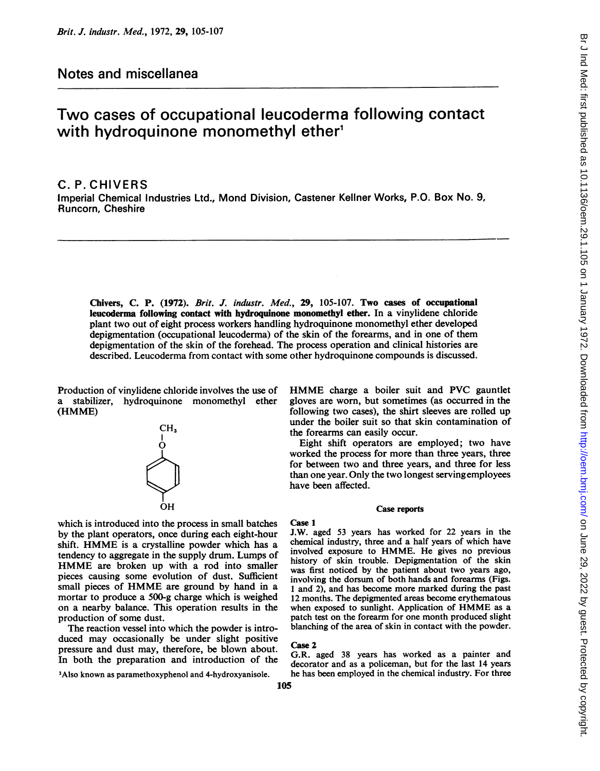## Notes and miscellanea

# Two cases of occupational leucoderma following contact with hydroquinone monomethyl ether<sup>1</sup>

## C. P. CHIVERS

Imperial Chemical Industries Ltd., Mond Division, Castener Kellner Works, P.O. Box No. 9, Runcorn, Cheshire

Chivers, C. P. (1972). Brit. J. industr. Med., 29, 105-107. Two cases of occupational leucoderma following contact with hydroquinone monomethyl ether. In a vinylidene chloride plant two out of eight process workers handling hydroquinone monomethyl ether developed depigmentation (occupational leucoderma) of the skin of the forearms, and in one of them depigmentation of the skin of the forehead. The process operation and clinical histories are described. Leucoderma from contact with some other hydroquinone compounds is discussed.

Production of vinylidene chloride involves the use of a stabilizer, hydroquinone monomethyl ether (HMME)



which is introduced into the process in small batches by the plant operators, once during each eight-hour shift. HMME is <sup>a</sup> crystalline powder which has <sup>a</sup> tendency to aggregate in the supply drum. Lumps of HMME are broken up with <sup>a</sup> rod into smaller pieces causing some evolution of dust. Sufficient small pieces of HMME are ground by hand in <sup>a</sup> mortar to produce a 500-g charge which is weighed on a nearby balance. This operation results in the production of some dust.

The reaction vessel into which the powder is introduced may occasionally be under slight positive pressure and dust may, therefore, be blown about. In both the preparation and introduction of the

'Also known as paramethoxyphenol and 4-hydroxyanisole.

## gloves are worn, but sometimes (as occurred in the following two cases), the shirt sleeves are rolled up under the boiler suit so that skin contamination of the forearms can easily occur.

HMME charge <sup>a</sup> boiler suit and PVC gauntlet

Eight shift operators are employed; two have worked the process for more than three years, three for between two and three years, and three for less than one year. Only the two longest servingemployees have been affected.

#### Case reports

Case 1

J.W. aged 53 years has worked for 22 years in the chemical industry, three and a half years of which have involved exposure to HMME. He gives no previous history of skin trouble. Depigmentation of the skin was first noticed by the patient about two years ago, involving the dorsum of both hands and forearms (Figs. <sup>1</sup> and 2), and has become more marked during the past 12 months. The depigmented areas become erythematous when exposed to sunlight. Application of HMME as <sup>a</sup> patch test on the forearm for one month produced slight blanching of the area of skin in contact with the powder.

#### Case 2

G.R. aged 38 years has worked as a painter and decorator and as a policeman, but for the last 14 years he has been employed in the chemical industry. For three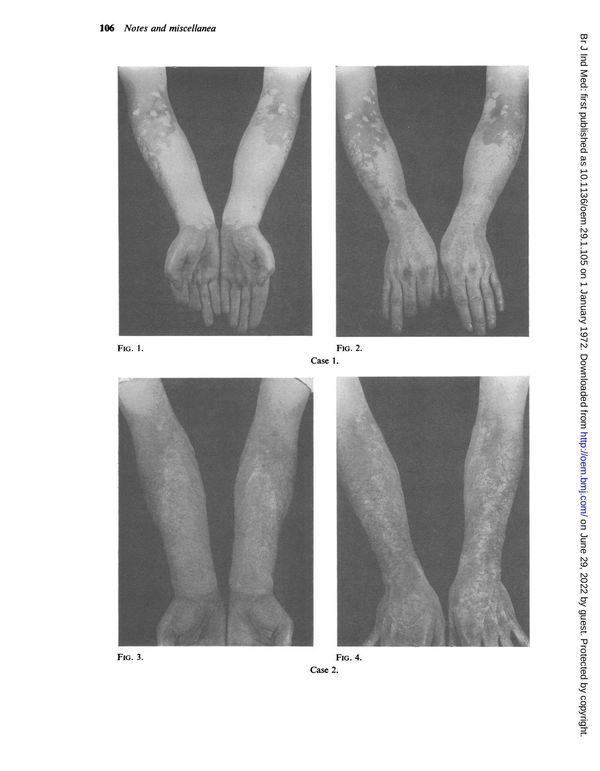

FIG. 1.







FIG. 3.

FIG. 4. Case 2.